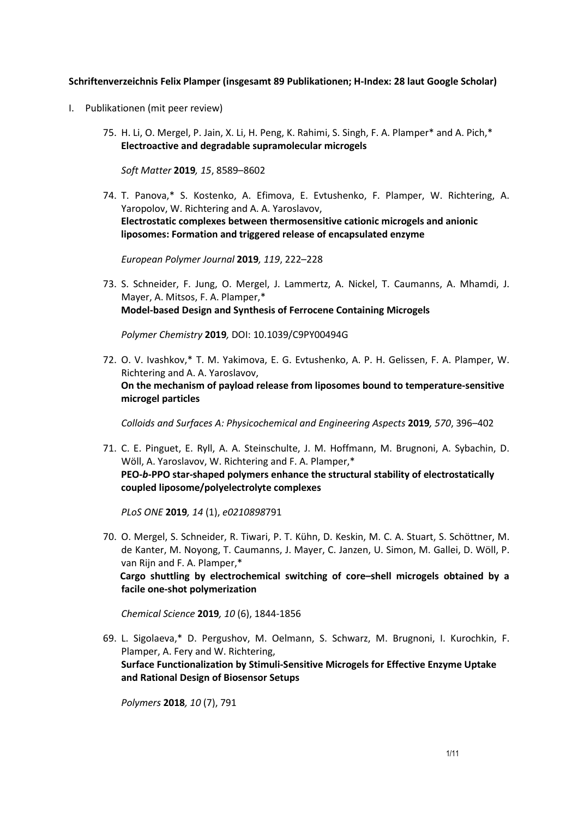## **Schriftenverzeichnis Felix Plamper (insgesamt 89 Publikationen; H-Index: 28 laut Google Scholar)**

- I. Publikationen (mit peer review)
	- 75. H. Li, O. Mergel, P. Jain, X. Li, H. Peng, K. Rahimi, S. Singh, F. A. Plamper\* and A. Pich,\* **Electroactive and degradable supramolecular microgels**

*Soft Matter* **2019***, 15*, 8589–8602

74. T. Panova,\* S. Kostenko, A. Efimova, E. Evtushenko, F. Plamper, W. Richtering, A. Yaropolov, W. Richtering and A. A. Yaroslavov, **Electrostatic complexes between thermosensitive cationic microgels and anionic liposomes: Formation and triggered release of encapsulated enzyme** 

*European Polymer Journal* **2019***, 119*, 222–228

73. S. Schneider, F. Jung, O. Mergel, J. Lammertz, A. Nickel, T. Caumanns, A. Mhamdi, J. Mayer, A. Mitsos, F. A. Plamper,\* **Model-based Design and Synthesis of Ferrocene Containing Microgels** 

*Polymer Chemistry* **2019***,* DOI: 10.1039/C9PY00494G

72. O. V. Ivashkov,\* T. M. Yakimova, E. G. Evtushenko, A. P. H. Gelissen, F. A. Plamper, W. Richtering and A. A. Yaroslavov, **On the mechanism of payload release from liposomes bound to temperature-sensitive microgel particles** 

*Colloids and Surfaces A: Physicochemical and Engineering Aspects* **2019***, 570*, 396–402

71. C. E. Pinguet, E. Ryll, A. A. Steinschulte, J. M. Hoffmann, M. Brugnoni, A. Sybachin, D. Wöll, A. Yaroslavov, W. Richtering and F. A. Plamper,\* **PEO-***b***-PPO star-shaped polymers enhance the structural stability of electrostatically coupled liposome/polyelectrolyte complexes** 

*PLoS ONE* **2019***, 14* (1), *e0210898*791

70. O. Mergel, S. Schneider, R. Tiwari, P. T. Kühn, D. Keskin, M. C. A. Stuart, S. Schöttner, M. de Kanter, M. Noyong, T. Caumanns, J. Mayer, C. Janzen, U. Simon, M. Gallei, D. Wöll, P. van Rijn and F. A. Plamper,\*

 **Cargo shuttling by electrochemical switching of core–shell microgels obtained by a facile one-shot polymerization**

*Chemical Science* **2019***, 10* (6), 1844-1856

69. L. Sigolaeva,\* D. Pergushov, M. Oelmann, S. Schwarz, M. Brugnoni, I. Kurochkin, F. Plamper, A. Fery and W. Richtering, **Surface Functionalization by Stimuli-Sensitive Microgels for Effective Enzyme Uptake and Rational Design of Biosensor Setups** 

*Polymers* **2018***, 10* (7), 791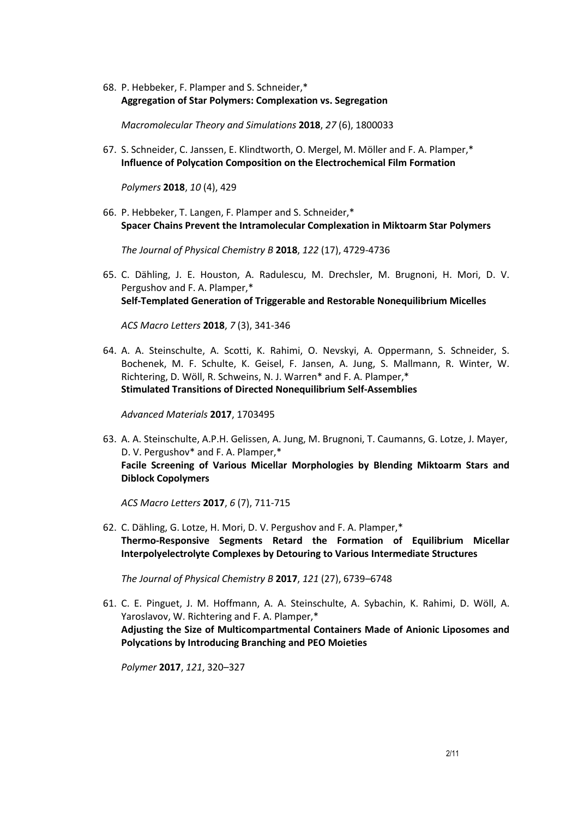68. P. Hebbeker, F. Plamper and S. Schneider,\* **Aggregation of Star Polymers: Complexation vs. Segregation** 

*Macromolecular Theory and Simulations* **2018**, *27* (6), 1800033

67. S. Schneider, C. Janssen, E. Klindtworth, O. Mergel, M. Möller and F. A. Plamper,\* **Influence of Polycation Composition on the Electrochemical Film Formation** 

*Polymers* **2018**, *10* (4), 429

66. P. Hebbeker, T. Langen, F. Plamper and S. Schneider,\* **Spacer Chains Prevent the Intramolecular Complexation in Miktoarm Star Polymers** 

*The Journal of Physical Chemistry B* **2018**, *122* (17), 4729-4736

65. C. Dähling, J. E. Houston, A. Radulescu, M. Drechsler, M. Brugnoni, H. Mori, D. V. Pergushov and F. A. Plamper,\* **Self-Templated Generation of Triggerable and Restorable Nonequilibrium Micelles** 

*ACS Macro Letters* **2018**, *7* (3), 341-346

64. A. A. Steinschulte, A. Scotti, K. Rahimi, O. Nevskyi, A. Oppermann, S. Schneider, S. Bochenek, M. F. Schulte, K. Geisel, F. Jansen, A. Jung, S. Mallmann, R. Winter, W. Richtering, D. Wöll, R. Schweins, N. J. Warren\* and F. A. Plamper,\* **Stimulated Transitions of Directed Nonequilibrium Self-Assemblies** 

*Advanced Materials* **2017**, 1703495

63. A. A. Steinschulte, A.P.H. Gelissen, A. Jung, M. Brugnoni, T. Caumanns, G. Lotze, J. Mayer, D. V. Pergushov\* and F. A. Plamper,\* **Facile Screening of Various Micellar Morphologies by Blending Miktoarm Stars and Diblock Copolymers** 

*ACS Macro Letters* **2017**, *6* (7), 711-715

62. C. Dähling, G. Lotze, H. Mori, D. V. Pergushov and F. A. Plamper,\* **Thermo-Responsive Segments Retard the Formation of Equilibrium Micellar Interpolyelectrolyte Complexes by Detouring to Various Intermediate Structures** 

*The Journal of Physical Chemistry B* **2017**, *121* (27), 6739–6748

61. C. E. Pinguet, J. M. Hoffmann, A. A. Steinschulte, A. Sybachin, K. Rahimi, D. Wöll, A. Yaroslavov, W. Richtering and F. A. Plamper,\* **Adjusting the Size of Multicompartmental Containers Made of Anionic Liposomes and Polycations by Introducing Branching and PEO Moieties** 

*Polymer* **2017**, *121*, 320–327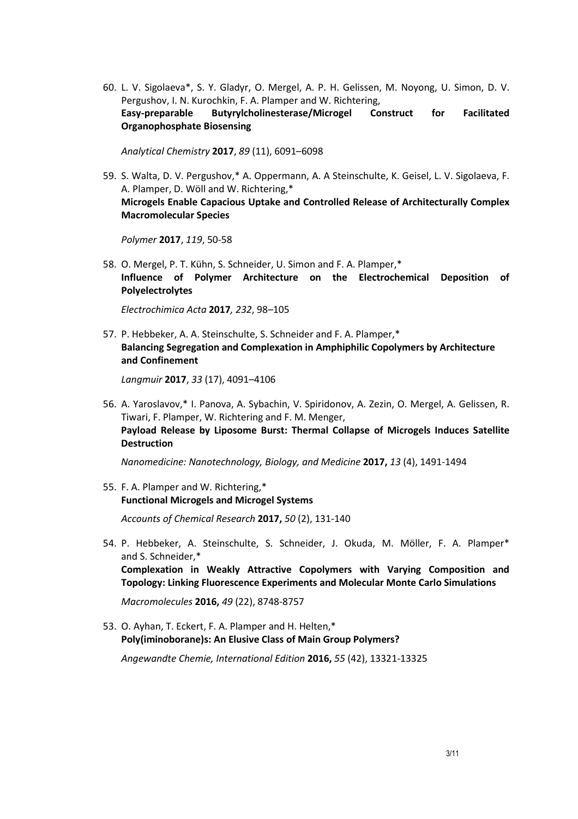60. L. V. Sigolaeva\*, S. Y. Gladyr, O. Mergel, A. P. H. Gelissen, M. Noyong, U. Simon, D. V. Pergushov, I. N. Kurochkin, F. A. Plamper and W. Richtering, **Easy-preparable Butyrylcholinesterase/Microgel Construct for Facilitated Organophosphate Biosensing** 

*Analytical Chemistry* **2017**, *89* (11), 6091–6098

59. S. Walta, D. V. Pergushov,\* A. Oppermann, A. A Steinschulte, K. Geisel, L. V. Sigolaeva, F. A. Plamper, D. Wöll and W. Richtering,\* **Microgels Enable Capacious Uptake and Controlled Release of Architecturally Complex Macromolecular Species** 

*Polymer* **2017**, *119*, 50-58

58. O. Mergel, P. T. Kühn, S. Schneider, U. Simon and F. A. Plamper,\* **Influence of Polymer Architecture on the Electrochemical Deposition of Polyelectrolytes** 

*Electrochimica Acta* **2017***, 232*, 98–105

57. P. Hebbeker, A. A. Steinschulte, S. Schneider and F. A. Plamper,\* **Balancing Segregation and Complexation in Amphiphilic Copolymers by Architecture and Confinement** 

Langmuir **2017**, 33 (17), 4091-4106

56. A. Yaroslavov,\* I. Panova, A. Sybachin, V. Spiridonov, A. Zezin, O. Mergel, A. Gelissen, R. Tiwari, F. Plamper, W. Richtering and F. M. Menger, **Payload Release by Liposome Burst: Thermal Collapse of Microgels Induces Satellite Destruction** 

*Nanomedicine: Nanotechnology, Biology, and Medicine* **2017,** *13* (4), 1491-1494

55. F. A. Plamper and W. Richtering,\* **Functional Microgels and Microgel Systems** 

*Accounts of Chemical Research* **2017,** *50* (2), 131-140

54. P. Hebbeker, A. Steinschulte, S. Schneider, J. Okuda, M. Möller, F. A. Plamper\* and S. Schneider,\* **Complexation in Weakly Attractive Copolymers with Varying Composition and Topology: Linking Fluorescence Experiments and Molecular Monte Carlo Simulations** 

*Macromolecules* **2016,** *49* (22), 8748-8757

53. O. Ayhan, T. Eckert, F. A. Plamper and H. Helten,\* **Poly(iminoborane)s: An Elusive Class of Main Group Polymers?**  *Angewandte Chemie, International Edition* **2016,** *55* (42), 13321-13325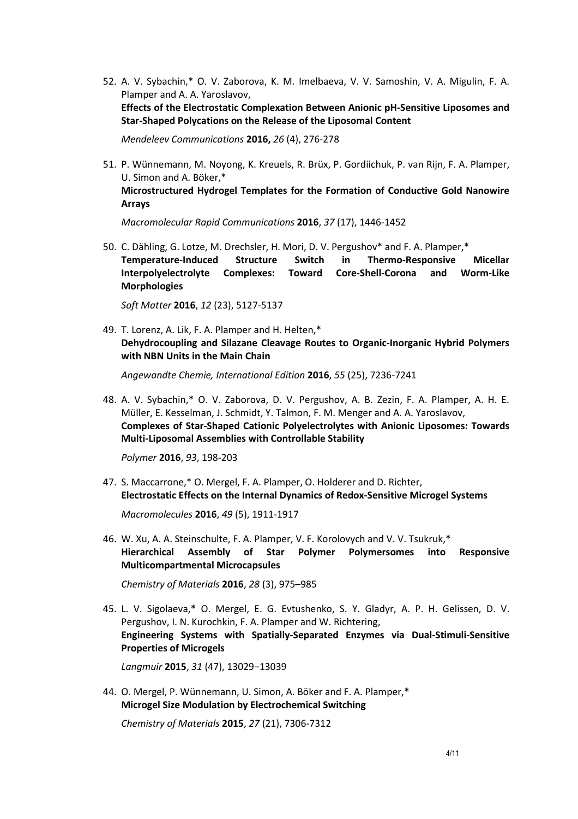52. A. V. Sybachin,\* O. V. Zaborova, K. M. Imelbaeva, V. V. Samoshin, V. A. Migulin, F. A. Plamper and A. A. Yaroslavov, **Effects of the Electrostatic Complexation Between Anionic pH-Sensitive Liposomes and Star-Shaped Polycations on the Release of the Liposomal Content**

*Mendeleev Communications* **2016,** *26* (4), 276-278

51. P. Wünnemann, M. Noyong, K. Kreuels, R. Brüx, P. Gordiichuk, P. van Rijn, F. A. Plamper, U. Simon and A. Böker,\* **Microstructured Hydrogel Templates for the Formation of Conductive Gold Nanowire Arrays** 

*Macromolecular Rapid Communications* **2016**, *37* (17), 1446-1452

50. C. Dähling, G. Lotze, M. Drechsler, H. Mori, D. V. Pergushov\* and F. A. Plamper,\* **Temperature-Induced Structure Switch in Thermo-Responsive Micellar Interpolyelectrolyte Complexes: Toward Core-Shell-Corona and Worm-Like Morphologies** 

*Soft Matter* **2016**, *12* (23), 5127-5137

49. T. Lorenz, A. Lik, F. A. Plamper and H. Helten,\* **Dehydrocoupling and Silazane Cleavage Routes to Organic-Inorganic Hybrid Polymers with NBN Units in the Main Chain**

*Angewandte Chemie, International Edition* **2016**, *55* (25), 7236-7241

48. A. V. Sybachin,\* O. V. Zaborova, D. V. Pergushov, A. B. Zezin, F. A. Plamper, A. H. E. Müller, E. Kesselman, J. Schmidt, Y. Talmon, F. M. Menger and A. A. Yaroslavov, **Complexes of Star-Shaped Cationic Polyelectrolytes with Anionic Liposomes: Towards Multi-Liposomal Assemblies with Controllable Stability** 

*Polymer* **2016**, *93*, 198-203

47. S. Maccarrone,\* O. Mergel, F. A. Plamper, O. Holderer and D. Richter, **Electrostatic Effects on the Internal Dynamics of Redox-Sensitive Microgel Systems**

*Macromolecules* **2016**, *49* (5), 1911-1917

46. W. Xu, A. A. Steinschulte, F. A. Plamper, V. F. Korolovych and V. V. Tsukruk,\* **Hierarchical Assembly of Star Polymer Polymersomes into Responsive Multicompartmental Microcapsules** 

*Chemistry of Materials* **2016**, *28* (3), 975–985

45. L. V. Sigolaeva,\* O. Mergel, E. G. Evtushenko, S. Y. Gladyr, A. P. H. Gelissen, D. V. Pergushov, I. N. Kurochkin, F. A. Plamper and W. Richtering, **Engineering Systems with Spatially-Separated Enzymes via Dual-Stimuli-Sensitive Properties of Microgels** 

*Langmuir* **2015**, *31* (47), 13029−13039

44. O. Mergel, P. Wünnemann, U. Simon, A. Böker and F. A. Plamper,\* **Microgel Size Modulation by Electrochemical Switching** 

*Chemistry of Materials* **2015**, *27* (21), 7306-7312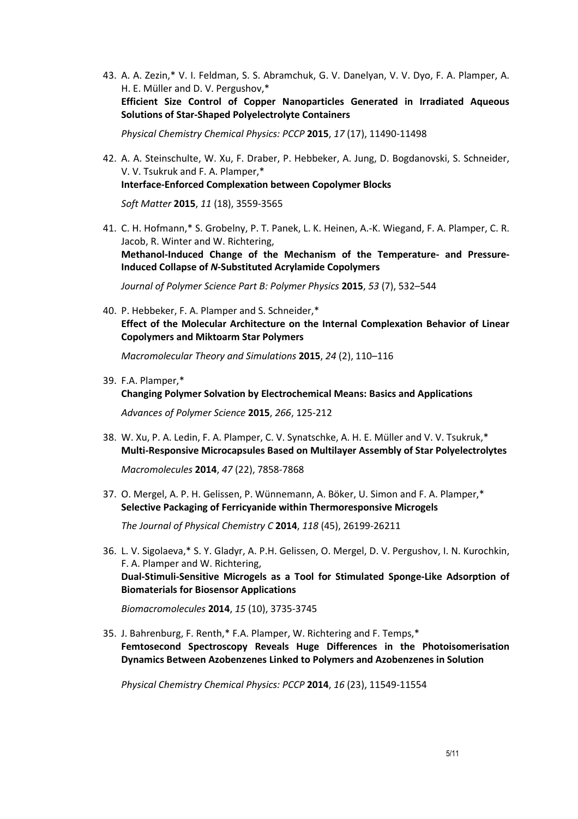43. A. A. Zezin,\* V. I. Feldman, S. S. Abramchuk, G. V. Danelyan, V. V. Dyo, F. A. Plamper, A. H. E. Müller and D. V. Pergushov,\* **Efficient Size Control of Copper Nanoparticles Generated in Irradiated Aqueous Solutions of Star-Shaped Polyelectrolyte Containers**

*Physical Chemistry Chemical Physics: PCCP* **2015**, *17* (17), 11490-11498

- 42. A. A. Steinschulte, W. Xu, F. Draber, P. Hebbeker, A. Jung, D. Bogdanovski, S. Schneider, V. V. Tsukruk and F. A. Plamper,\* **Interface-Enforced Complexation between Copolymer Blocks**  *Soft Matter* **2015**, 11 (18), 3559-3565
- 41. C. H. Hofmann,\* S. Grobelny, P. T. Panek, L. K. Heinen, A.-K. Wiegand, F. A. Plamper, C. R. Jacob, R. Winter and W. Richtering, **Methanol-Induced Change of the Mechanism of the Temperature- and Pressure-Induced Collapse of** *N***-Substituted Acrylamide Copolymers**

*Journal of Polymer Science Part B: Polymer Physics* **2015**, *53* (7), 532–544

40. P. Hebbeker, F. A. Plamper and S. Schneider,\* **Effect of the Molecular Architecture on the Internal Complexation Behavior of Linear Copolymers and Miktoarm Star Polymers** 

*Macromolecular Theory and Simulations* **2015**, *24* (2), 110–116

39. F.A. Plamper,\*

**Changing Polymer Solvation by Electrochemical Means: Basics and Applications**

*Advances of Polymer Science* **2015**, *266*, 125-212

- 38. W. Xu, P. A. Ledin, F. A. Plamper, C. V. Synatschke, A. H. E. Müller and V. V. Tsukruk,\* **Multi-Responsive Microcapsules Based on Multilayer Assembly of Star Polyelectrolytes**  *Macromolecules* **2014**, *47* (22), 7858-7868
- 37. O. Mergel, A. P. H. Gelissen, P. Wünnemann, A. Böker, U. Simon and F. A. Plamper,\* **Selective Packaging of Ferricyanide within Thermoresponsive Microgels**

*The Journal of Physical Chemistry C* **2014**, *118* (45), 26199-26211

36. L. V. Sigolaeva,\* S. Y. Gladyr, A. P.H. Gelissen, O. Mergel, D. V. Pergushov, I. N. Kurochkin, F. A. Plamper and W. Richtering, **Dual-Stimuli-Sensitive Microgels as a Tool for Stimulated Sponge-Like Adsorption of Biomaterials for Biosensor Applications** 

*Biomacromolecules* **2014**, *15* (10), 3735-3745

35. J. Bahrenburg, F. Renth,\* F.A. Plamper, W. Richtering and F. Temps,\* **Femtosecond Spectroscopy Reveals Huge Differences in the Photoisomerisation Dynamics Between Azobenzenes Linked to Polymers and Azobenzenes in Solution** 

*Physical Chemistry Chemical Physics: PCCP* **2014**, *16* (23), 11549-11554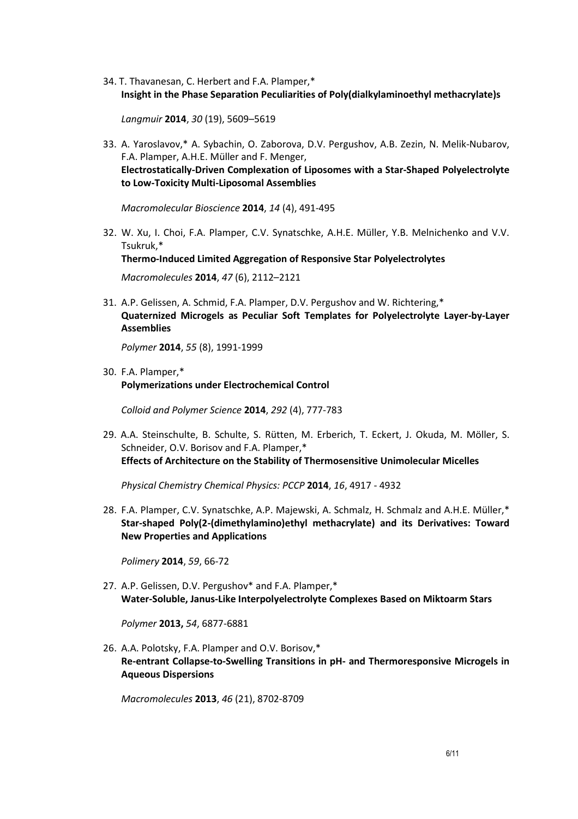34. T. Thavanesan, C. Herbert and F.A. Plamper,\* **Insight in the Phase Separation Peculiarities of Poly(dialkylaminoethyl methacrylate)s** 

*Langmuir* **2014**, *30* (19), 5609–5619

33. A. Yaroslavov,\* A. Sybachin, O. Zaborova, D.V. Pergushov, A.B. Zezin, N. Melik-Nubarov, F.A. Plamper, A.H.E. Müller and F. Menger, **Electrostatically-Driven Complexation of Liposomes with a Star-Shaped Polyelectrolyte to Low-Toxicity Multi-Liposomal Assemblies** 

*Macromolecular Bioscience* **2014**, *14* (4), 491-495

- 32. W. Xu, I. Choi, F.A. Plamper, C.V. Synatschke, A.H.E. Müller, Y.B. Melnichenko and V.V. Tsukruk,\* **Thermo-Induced Limited Aggregation of Responsive Star Polyelectrolytes**  *Macromolecules* **2014**, *47* (6), 2112–2121
- 31. A.P. Gelissen, A. Schmid, F.A. Plamper, D.V. Pergushov and W. Richtering,\* **Quaternized Microgels as Peculiar Soft Templates for Polyelectrolyte Layer-by-Layer Assemblies**

*Polymer* **2014**, *55* (8), 1991-1999

30. F.A. Plamper,\* **Polymerizations under Electrochemical Control** 

*Colloid and Polymer Science* **2014**, *292* (4), 777-783

29. A.A. Steinschulte, B. Schulte, S. Rütten, M. Erberich, T. Eckert, J. Okuda, M. Möller, S. Schneider, O.V. Borisov and F.A. Plamper,\* **Effects of Architecture on the Stability of Thermosensitive Unimolecular Micelles** 

*Physical Chemistry Chemical Physics: PCCP* **2014**, *16*, 4917 - 4932

28. F.A. Plamper, C.V. Synatschke, A.P. Majewski, A. Schmalz, H. Schmalz and A.H.E. Müller,\* **Star-shaped Poly(2-(dimethylamino)ethyl methacrylate) and its Derivatives: Toward New Properties and Applications** 

*Polimery* **2014**, *59*, 66-72

27. A.P. Gelissen, D.V. Pergushov\* and F.A. Plamper,\* **Water-Soluble, Janus-Like Interpolyelectrolyte Complexes Based on Miktoarm Stars** 

*Polymer* **2013,** *54*, 6877-6881

26. A.A. Polotsky, F.A. Plamper and O.V. Borisov,\* **Re-entrant Collapse-to-Swelling Transitions in pH- and Thermoresponsive Microgels in Aqueous Dispersions** 

*Macromolecules* **2013**, *46* (21), 8702-8709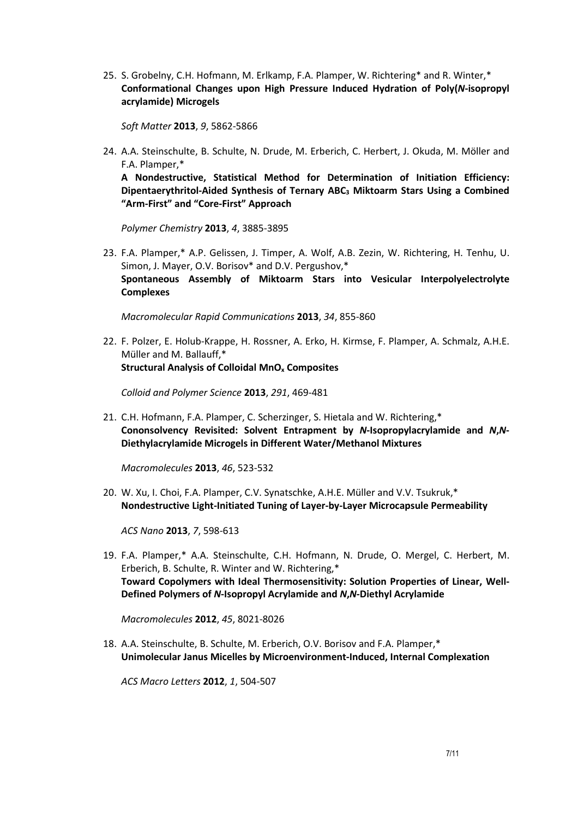25. S. Grobelny, C.H. Hofmann, M. Erlkamp, F.A. Plamper, W. Richtering\* and R. Winter,\* **Conformational Changes upon High Pressure Induced Hydration of Poly(***N***-isopropyl acrylamide) Microgels** 

*Soft Matter* **2013**, *9*, 5862-5866

24. A.A. Steinschulte, B. Schulte, N. Drude, M. Erberich, C. Herbert, J. Okuda, M. Möller and F.A. Plamper,\*

**A Nondestructive, Statistical Method for Determination of Initiation Efficiency: Dipentaerythritol-Aided Synthesis of Ternary ABC3 Miktoarm Stars Using a Combined "Arm-First" and "Core-First" Approach** 

*Polymer Chemistry* **2013**, *4*, 3885-3895

23. F.A. Plamper,\* A.P. Gelissen, J. Timper, A. Wolf, A.B. Zezin, W. Richtering, H. Tenhu, U. Simon, J. Mayer, O.V. Borisov\* and D.V. Pergushov,\* **Spontaneous Assembly of Miktoarm Stars into Vesicular Interpolyelectrolyte Complexes** 

*Macromolecular Rapid Communications* **2013**, *34*, 855-860

22. F. Polzer, E. Holub-Krappe, H. Rossner, A. Erko, H. Kirmse, F. Plamper, A. Schmalz, A.H.E. Müller and M. Ballauff,\* **Structural Analysis of Colloidal MnOx Composites** 

*Colloid and Polymer Science* **2013**, *291*, 469-481

21. C.H. Hofmann, F.A. Plamper, C. Scherzinger, S. Hietala and W. Richtering,\* **Cononsolvency Revisited: Solvent Entrapment by** *N***-Isopropylacrylamide and** *N***,***N***-Diethylacrylamide Microgels in Different Water/Methanol Mixtures** 

*Macromolecules* **2013**, *46*, 523-532

20. W. Xu, I. Choi, F.A. Plamper, C.V. Synatschke, A.H.E. Müller and V.V. Tsukruk,\* **Nondestructive Light-Initiated Tuning of Layer-by-Layer Microcapsule Permeability** 

*ACS Nano* **2013**, *7*, 598-613

19. F.A. Plamper,\* A.A. Steinschulte, C.H. Hofmann, N. Drude, O. Mergel, C. Herbert, M. Erberich, B. Schulte, R. Winter and W. Richtering,\* **Toward Copolymers with Ideal Thermosensitivity: Solution Properties of Linear, Well-Defined Polymers of** *N***-Isopropyl Acrylamide and** *N***,***N***-Diethyl Acrylamide** 

*Macromolecules* **2012**, *45*, 8021-8026

18. A.A. Steinschulte, B. Schulte, M. Erberich, O.V. Borisov and F.A. Plamper,\* **Unimolecular Janus Micelles by Microenvironment-Induced, Internal Complexation** 

*ACS Macro Letters* **2012**, *1*, 504-507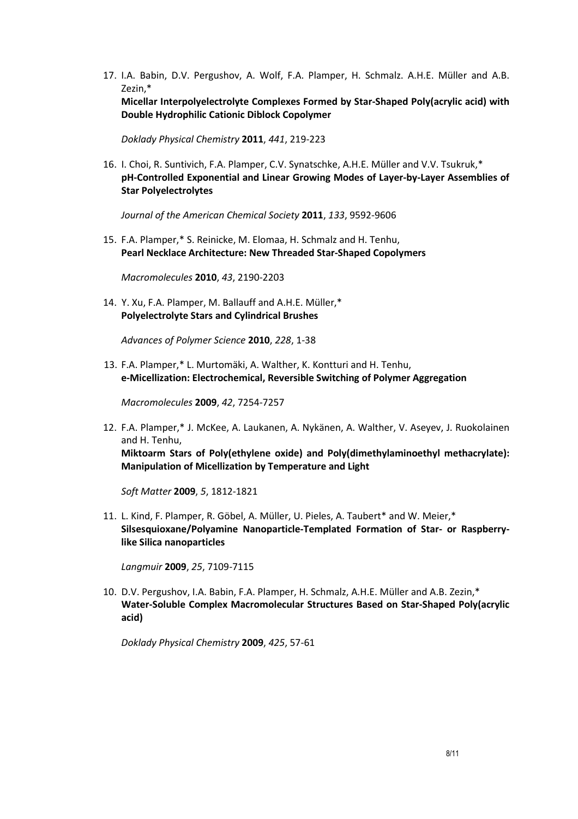17. I.A. Babin, D.V. Pergushov, A. Wolf, F.A. Plamper, H. Schmalz. A.H.E. Müller and A.B. Zezin,\*

**Micellar Interpolyelectrolyte Complexes Formed by Star-Shaped Poly(acrylic acid) with Double Hydrophilic Cationic Diblock Copolymer** 

*Doklady Physical Chemistry* **2011**, *441*, 219-223

16. I. Choi, R. Suntivich, F.A. Plamper, C.V. Synatschke, A.H.E. Müller and V.V. Tsukruk,\* **pH-Controlled Exponential and Linear Growing Modes of Layer-by-Layer Assemblies of Star Polyelectrolytes** 

*Journal of the American Chemical Society* **2011**, *133*, 9592-9606

15. F.A. Plamper,\* S. Reinicke, M. Elomaa, H. Schmalz and H. Tenhu, **Pearl Necklace Architecture: New Threaded Star-Shaped Copolymers**

*Macromolecules* **2010**, *43*, 2190-2203

14. Y. Xu, F.A. Plamper, M. Ballauff and A.H.E. Müller,\* **Polyelectrolyte Stars and Cylindrical Brushes**

*Advances of Polymer Science* **2010**, *228*, 1-38

13. F.A. Plamper,\* L. Murtomäki, A. Walther, K. Kontturi and H. Tenhu, **e-Micellization: Electrochemical, Reversible Switching of Polymer Aggregation**

*Macromolecules* **2009**, *42*, 7254-7257

12. F.A. Plamper,\* J. McKee, A. Laukanen, A. Nykänen, A. Walther, V. Aseyev, J. Ruokolainen and H. Tenhu,

**Miktoarm Stars of Poly(ethylene oxide) and Poly(dimethylaminoethyl methacrylate): Manipulation of Micellization by Temperature and Light**

*Soft Matter* **2009**, *5*, 1812-1821

11. L. Kind, F. Plamper, R. Göbel, A. Müller, U. Pieles, A. Taubert\* and W. Meier,\* **Silsesquioxane/Polyamine Nanoparticle-Templated Formation of Star- or Raspberrylike Silica nanoparticles**

*Langmuir* **2009**, *25*, 7109-7115

10. D.V. Pergushov, I.A. Babin, F.A. Plamper, H. Schmalz, A.H.E. Müller and A.B. Zezin,\* **Water-Soluble Complex Macromolecular Structures Based on Star-Shaped Poly(acrylic acid)** 

*Doklady Physical Chemistry* **2009**, *425*, 57-61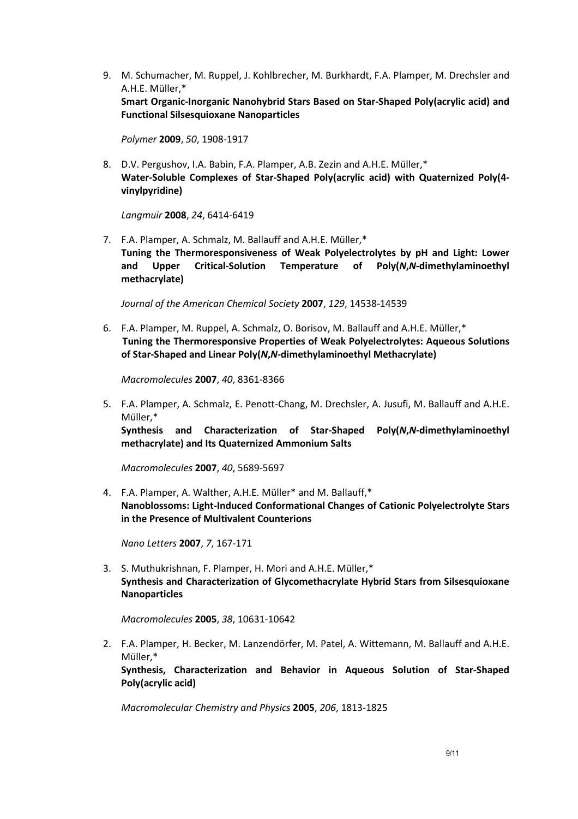9. M. Schumacher, M. Ruppel, J. Kohlbrecher, M. Burkhardt, F.A. Plamper, M. Drechsler and A.H.E. Müller,\*

**Smart Organic-Inorganic Nanohybrid Stars Based on Star-Shaped Poly(acrylic acid) and Functional Silsesquioxane Nanoparticles**

*Polymer* **2009**, *50*, 1908-1917

8. D.V. Pergushov, I.A. Babin, F.A. Plamper, A.B. Zezin and A.H.E. Müller,\* **Water-Soluble Complexes of Star-Shaped Poly(acrylic acid) with Quaternized Poly(4 vinylpyridine)**

*Langmuir* **2008**, *24*, 6414-6419

7. F.A. Plamper, A. Schmalz, M. Ballauff and A.H.E. Müller,\* **Tuning the Thermoresponsiveness of Weak Polyelectrolytes by pH and Light: Lower and Upper Critical-Solution Temperature of Poly(***N***,***N***-dimethylaminoethyl methacrylate)**

*Journal of the American Chemical Society* **2007**, *129*, 14538-14539

6. F.A. Plamper, M. Ruppel, A. Schmalz, O. Borisov, M. Ballauff and A.H.E. Müller,\* **Tuning the Thermoresponsive Properties of Weak Polyelectrolytes: Aqueous Solutions of Star-Shaped and Linear Poly(***N***,***N***-dimethylaminoethyl Methacrylate)** 

*Macromolecules* **2007**, *40*, 8361-8366

5. F.A. Plamper, A. Schmalz, E. Penott-Chang, M. Drechsler, A. Jusufi, M. Ballauff and A.H.E. Müller,\*

**Synthesis and Characterization of Star-Shaped Poly(***N***,***N***-dimethylaminoethyl methacrylate) and Its Quaternized Ammonium Salts**

*Macromolecules* **2007**, *40*, 5689-5697

4. F.A. Plamper, A. Walther, A.H.E. Müller\* and M. Ballauff,\* **Nanoblossoms: Light-Induced Conformational Changes of Cationic Polyelectrolyte Stars in the Presence of Multivalent Counterions**

*Nano Letters* **2007**, *7*, 167-171

3. S. Muthukrishnan, F. Plamper, H. Mori and A.H.E. Müller,\* **Synthesis and Characterization of Glycomethacrylate Hybrid Stars from Silsesquioxane Nanoparticles**

*Macromolecules* **2005**, *38*, 10631-10642

2. F.A. Plamper, H. Becker, M. Lanzendörfer, M. Patel, A. Wittemann, M. Ballauff and A.H.E. Müller,\*

**Synthesis, Characterization and Behavior in Aqueous Solution of Star-Shaped Poly(acrylic acid)**

*Macromolecular Chemistry and Physics* **2005**, *206*, 1813-1825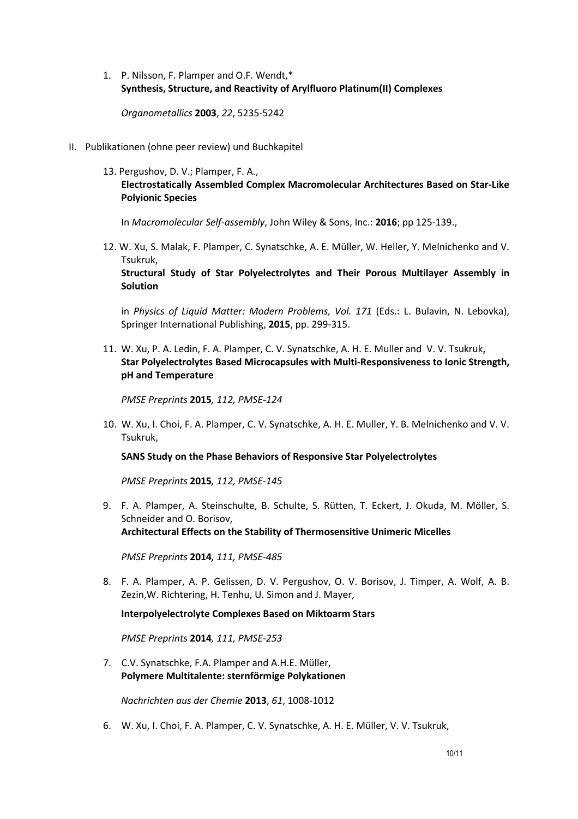1. P. Nilsson, F. Plamper and O.F. Wendt,\* **Synthesis, Structure, and Reactivity of Arylfluoro Platinum(II) Complexes**

*Organometallics* **2003**, *22*, 5235-5242

- II. Publikationen (ohne peer review) und Buchkapitel
	- 13. Pergushov, D. V.; Plamper, F. A., **Electrostatically Assembled Complex Macromolecular Architectures Based on Star-Like Polyionic Species**

In *Macromolecular Self-assembly*, John Wiley & Sons, Inc.: **2016**; pp 125-139.,

12. W. Xu, S. Malak, F. Plamper, C. Synatschke, A. E. Müller, W. Heller, Y. Melnichenko and V. Tsukruk,

**Structural Study of Star Polyelectrolytes and Their Porous Multilayer Assembly in Solution**

in *Physics of Liquid Matter: Modern Problems, Vol. 171* (Eds.: L. Bulavin, N. Lebovka), Springer International Publishing, **2015**, pp. 299-315.

11. W. Xu, P. A. Ledin, F. A. Plamper, C. V. Synatschke, A. H. E. Muller and V. V. Tsukruk, **Star Polyelectrolytes Based Microcapsules with Multi-Responsiveness to Ionic Strength, pH and Temperature** 

*PMSE Preprints* **2015***, 112, PMSE-124* 

10. W. Xu, I. Choi, F. A. Plamper, C. V. Synatschke, A. H. E. Muller, Y. B. Melnichenko and V. V. Tsukruk,

**SANS Study on the Phase Behaviors of Responsive Star Polyelectrolytes** 

*PMSE Preprints* **2015***, 112, PMSE-145*

9. F. A. Plamper, A. Steinschulte, B. Schulte, S. Rütten, T. Eckert, J. Okuda, M. Möller, S. Schneider and O. Borisov, **Architectural Effects on the Stability of Thermosensitive Unimeric Micelles** 

*PMSE Preprints* **2014***, 111, PMSE-485*

8. F. A. Plamper, A. P. Gelissen, D. V. Pergushov, O. V. Borisov, J. Timper, A. Wolf, A. B. Zezin,W. Richtering, H. Tenhu, U. Simon and J. Mayer,

**Interpolyelectrolyte Complexes Based on Miktoarm Stars** 

*PMSE Preprints* **2014***, 111, PMSE-253*

7. C.V. Synatschke, F.A. Plamper and A.H.E. Müller, **Polymere Multitalente: sternförmige Polykationen** 

*Nachrichten aus der Chemie* **2013**, *61*, 1008-1012

6. W. Xu, I. Choi, F. A. Plamper, C. V. Synatschke, A. H. E. Müller, V. V. Tsukruk,